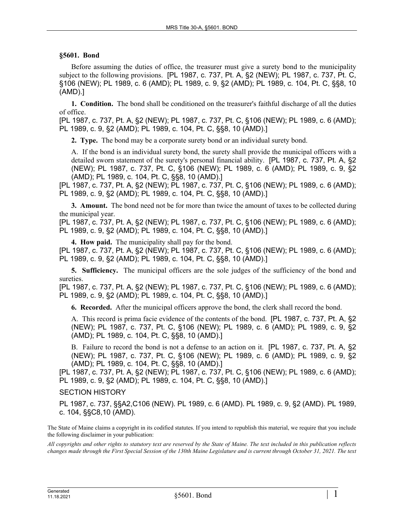## **§5601. Bond**

Before assuming the duties of office, the treasurer must give a surety bond to the municipality subject to the following provisions. [PL 1987, c. 737, Pt. A, §2 (NEW); PL 1987, c. 737, Pt. C, §106 (NEW); PL 1989, c. 6 (AMD); PL 1989, c. 9, §2 (AMD); PL 1989, c. 104, Pt. C, §§8, 10 (AMD).]

**1. Condition.** The bond shall be conditioned on the treasurer's faithful discharge of all the duties of office.

[PL 1987, c. 737, Pt. A, §2 (NEW); PL 1987, c. 737, Pt. C, §106 (NEW); PL 1989, c. 6 (AMD); PL 1989, c. 9, §2 (AMD); PL 1989, c. 104, Pt. C, §§8, 10 (AMD).]

**2. Type.** The bond may be a corporate surety bond or an individual surety bond.

A. If the bond is an individual surety bond, the surety shall provide the municipal officers with a detailed sworn statement of the surety's personal financial ability. [PL 1987, c. 737, Pt. A, §2 (NEW); PL 1987, c. 737, Pt. C, §106 (NEW); PL 1989, c. 6 (AMD); PL 1989, c. 9, §2 (AMD); PL 1989, c. 104, Pt. C, §§8, 10 (AMD).]

[PL 1987, c. 737, Pt. A, §2 (NEW); PL 1987, c. 737, Pt. C, §106 (NEW); PL 1989, c. 6 (AMD); PL 1989, c. 9, §2 (AMD); PL 1989, c. 104, Pt. C, §§8, 10 (AMD).]

**3. Amount.** The bond need not be for more than twice the amount of taxes to be collected during the municipal year.

[PL 1987, c. 737, Pt. A, §2 (NEW); PL 1987, c. 737, Pt. C, §106 (NEW); PL 1989, c. 6 (AMD); PL 1989, c. 9, §2 (AMD); PL 1989, c. 104, Pt. C, §§8, 10 (AMD).]

**4. How paid.** The municipality shall pay for the bond.

[PL 1987, c. 737, Pt. A, §2 (NEW); PL 1987, c. 737, Pt. C, §106 (NEW); PL 1989, c. 6 (AMD); PL 1989, c. 9, §2 (AMD); PL 1989, c. 104, Pt. C, §§8, 10 (AMD).]

**5. Sufficiency.** The municipal officers are the sole judges of the sufficiency of the bond and sureties.

[PL 1987, c. 737, Pt. A, §2 (NEW); PL 1987, c. 737, Pt. C, §106 (NEW); PL 1989, c. 6 (AMD); PL 1989, c. 9, §2 (AMD); PL 1989, c. 104, Pt. C, §§8, 10 (AMD).]

**6. Recorded.** After the municipal officers approve the bond, the clerk shall record the bond.

A. This record is prima facie evidence of the contents of the bond. [PL 1987, c. 737, Pt. A, §2 (NEW); PL 1987, c. 737, Pt. C, §106 (NEW); PL 1989, c. 6 (AMD); PL 1989, c. 9, §2 (AMD); PL 1989, c. 104, Pt. C, §§8, 10 (AMD).]

B. Failure to record the bond is not a defense to an action on it. [PL 1987, c. 737, Pt. A, §2 (NEW); PL 1987, c. 737, Pt. C, §106 (NEW); PL 1989, c. 6 (AMD); PL 1989, c. 9, §2 (AMD); PL 1989, c. 104, Pt. C, §§8, 10 (AMD).]

[PL 1987, c. 737, Pt. A, §2 (NEW); PL 1987, c. 737, Pt. C, §106 (NEW); PL 1989, c. 6 (AMD); PL 1989, c. 9, §2 (AMD); PL 1989, c. 104, Pt. C, §§8, 10 (AMD).]

SECTION HISTORY

PL 1987, c. 737, §§A2,C106 (NEW). PL 1989, c. 6 (AMD). PL 1989, c. 9, §2 (AMD). PL 1989, c. 104, §§C8,10 (AMD).

The State of Maine claims a copyright in its codified statutes. If you intend to republish this material, we require that you include the following disclaimer in your publication:

*All copyrights and other rights to statutory text are reserved by the State of Maine. The text included in this publication reflects changes made through the First Special Session of the 130th Maine Legislature and is current through October 31, 2021. The text*